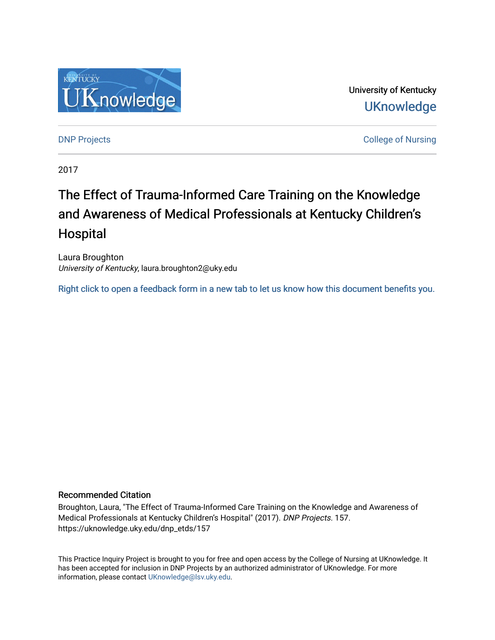

University of Kentucky **UKnowledge** 

**DNP Projects** College of Nursing

2017

# The Effect of Trauma-Informed Care Training on the Knowledge and Awareness of Medical Professionals at Kentucky Children's **Hospital**

Laura Broughton University of Kentucky, laura.broughton2@uky.edu

[Right click to open a feedback form in a new tab to let us know how this document benefits you.](https://uky.az1.qualtrics.com/jfe/form/SV_9mq8fx2GnONRfz7)

#### Recommended Citation

Broughton, Laura, "The Effect of Trauma-Informed Care Training on the Knowledge and Awareness of Medical Professionals at Kentucky Children's Hospital" (2017). DNP Projects. 157. https://uknowledge.uky.edu/dnp\_etds/157

This Practice Inquiry Project is brought to you for free and open access by the College of Nursing at UKnowledge. It has been accepted for inclusion in DNP Projects by an authorized administrator of UKnowledge. For more information, please contact [UKnowledge@lsv.uky.edu](mailto:UKnowledge@lsv.uky.edu).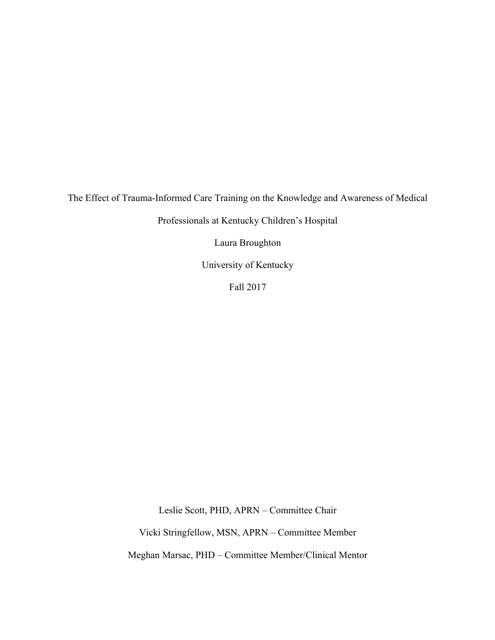The Effect of Trauma-Informed Care Training on the Knowledge and Awareness of Medical

Professionals at Kentucky Children's Hospital

Laura Broughton

University of Kentucky

Fall 2017

Leslie Scott, PHD, APRN – Committee Chair

Vicki Stringfellow, MSN, APRN – Committee Member

Meghan Marsac, PHD – Committee Member/Clinical Mentor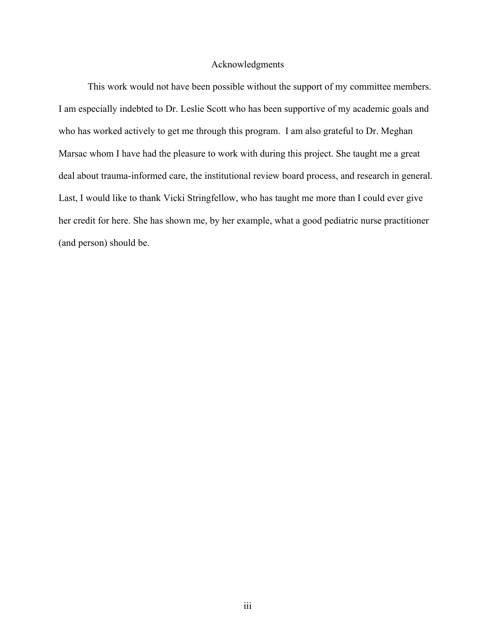#### Acknowledgments

This work would not have been possible without the support of my committee members. I am especially indebted to Dr. Leslie Scott who has been supportive of my academic goals and who has worked actively to get me through this program. I am also grateful to Dr. Meghan Marsac whom I have had the pleasure to work with during this project. She taught me a great deal about trauma-informed care, the institutional review board process, and research in general. Last, I would like to thank Vicki Stringfellow, who has taught me more than I could ever give her credit for here. She has shown me, by her example, what a good pediatric nurse practitioner (and person) should be.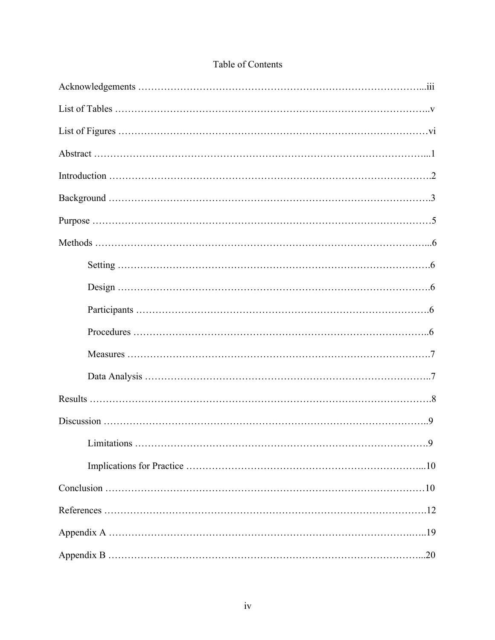| I imitations |
|--------------|
|              |
|              |
|              |
|              |
|              |

## Table of Contents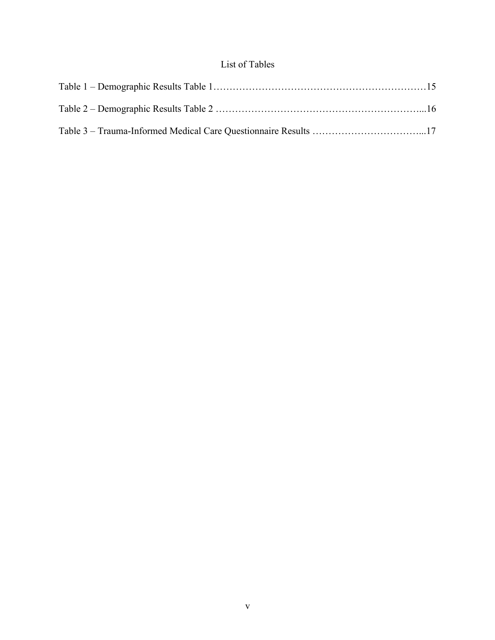## List of Tables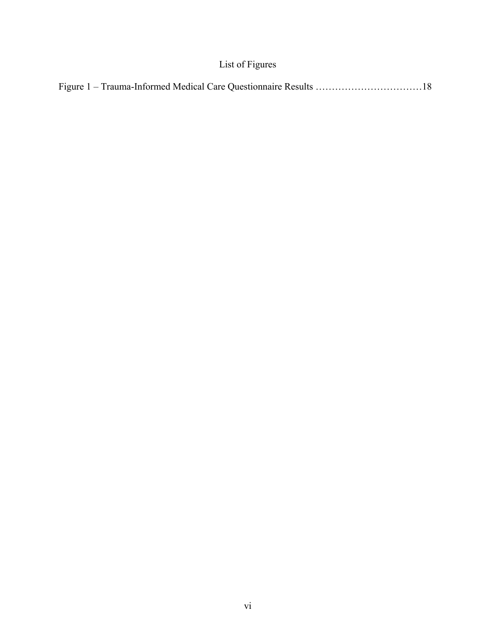# List of Figures

|--|--|--|--|--|--|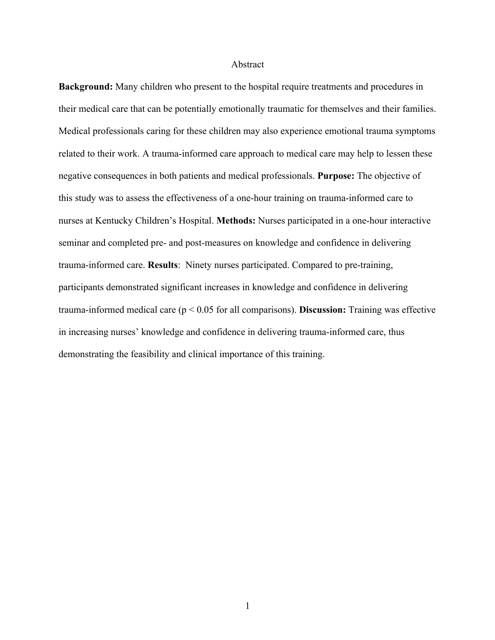#### Abstract

**Background:** Many children who present to the hospital require treatments and procedures in their medical care that can be potentially emotionally traumatic for themselves and their families. Medical professionals caring for these children may also experience emotional trauma symptoms related to their work. A trauma-informed care approach to medical care may help to lessen these negative consequences in both patients and medical professionals. **Purpose:** The objective of this study was to assess the effectiveness of a one-hour training on trauma-informed care to nurses at Kentucky Children's Hospital. **Methods:** Nurses participated in a one-hour interactive seminar and completed pre- and post-measures on knowledge and confidence in delivering trauma-informed care. **Results**: Ninety nurses participated. Compared to pre-training, participants demonstrated significant increases in knowledge and confidence in delivering trauma-informed medical care (p < 0.05 for all comparisons). **Discussion:** Training was effective in increasing nurses' knowledge and confidence in delivering trauma-informed care, thus demonstrating the feasibility and clinical importance of this training.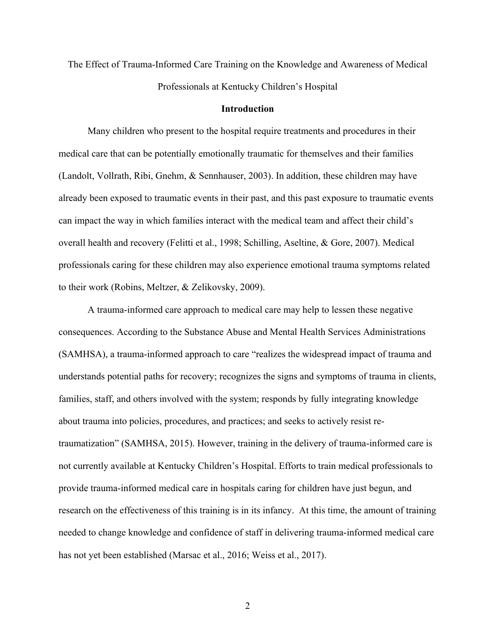The Effect of Trauma-Informed Care Training on the Knowledge and Awareness of Medical Professionals at Kentucky Children's Hospital

#### **Introduction**

Many children who present to the hospital require treatments and procedures in their medical care that can be potentially emotionally traumatic for themselves and their families (Landolt, Vollrath, Ribi, Gnehm, & Sennhauser, 2003). In addition, these children may have already been exposed to traumatic events in their past, and this past exposure to traumatic events can impact the way in which families interact with the medical team and affect their child's overall health and recovery (Felitti et al., 1998; Schilling, Aseltine, & Gore, 2007). Medical professionals caring for these children may also experience emotional trauma symptoms related to their work (Robins, Meltzer, & Zelikovsky, 2009).

A trauma-informed care approach to medical care may help to lessen these negative consequences. According to the Substance Abuse and Mental Health Services Administrations (SAMHSA), a trauma-informed approach to care "realizes the widespread impact of trauma and understands potential paths for recovery; recognizes the signs and symptoms of trauma in clients, families, staff, and others involved with the system; responds by fully integrating knowledge about trauma into policies, procedures, and practices; and seeks to actively resist retraumatization" (SAMHSA, 2015). However, training in the delivery of trauma-informed care is not currently available at Kentucky Children's Hospital. Efforts to train medical professionals to provide trauma-informed medical care in hospitals caring for children have just begun, and research on the effectiveness of this training is in its infancy. At this time, the amount of training needed to change knowledge and confidence of staff in delivering trauma-informed medical care has not yet been established (Marsac et al., 2016; Weiss et al., 2017).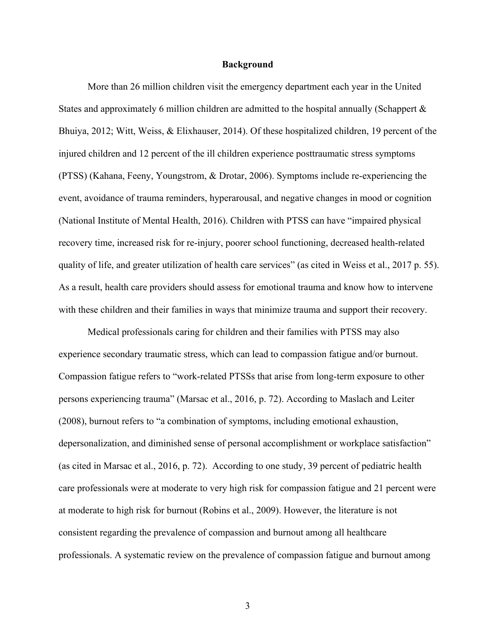#### **Background**

More than 26 million children visit the emergency department each year in the United States and approximately 6 million children are admitted to the hospital annually (Schappert & Bhuiya, 2012; Witt, Weiss, & Elixhauser, 2014). Of these hospitalized children, 19 percent of the injured children and 12 percent of the ill children experience posttraumatic stress symptoms (PTSS) (Kahana, Feeny, Youngstrom, & Drotar, 2006). Symptoms include re-experiencing the event, avoidance of trauma reminders, hyperarousal, and negative changes in mood or cognition (National Institute of Mental Health, 2016). Children with PTSS can have "impaired physical recovery time, increased risk for re-injury, poorer school functioning, decreased health-related quality of life, and greater utilization of health care services" (as cited in Weiss et al., 2017 p. 55). As a result, health care providers should assess for emotional trauma and know how to intervene with these children and their families in ways that minimize trauma and support their recovery.

Medical professionals caring for children and their families with PTSS may also experience secondary traumatic stress, which can lead to compassion fatigue and/or burnout. Compassion fatigue refers to "work-related PTSSs that arise from long-term exposure to other persons experiencing trauma" (Marsac et al., 2016, p. 72). According to Maslach and Leiter (2008), burnout refers to "a combination of symptoms, including emotional exhaustion, depersonalization, and diminished sense of personal accomplishment or workplace satisfaction" (as cited in Marsac et al., 2016, p. 72). According to one study, 39 percent of pediatric health care professionals were at moderate to very high risk for compassion fatigue and 21 percent were at moderate to high risk for burnout (Robins et al., 2009). However, the literature is not consistent regarding the prevalence of compassion and burnout among all healthcare professionals. A systematic review on the prevalence of compassion fatigue and burnout among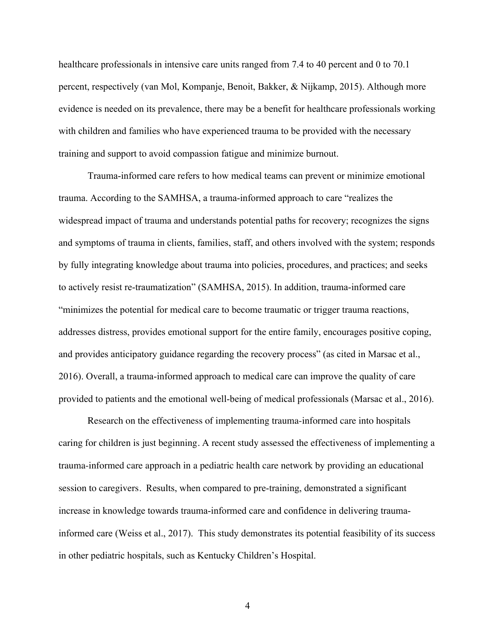healthcare professionals in intensive care units ranged from 7.4 to 40 percent and 0 to 70.1 percent, respectively (van Mol, Kompanje, Benoit, Bakker, & Nijkamp, 2015). Although more evidence is needed on its prevalence, there may be a benefit for healthcare professionals working with children and families who have experienced trauma to be provided with the necessary training and support to avoid compassion fatigue and minimize burnout.

Trauma-informed care refers to how medical teams can prevent or minimize emotional trauma. According to the SAMHSA, a trauma-informed approach to care "realizes the widespread impact of trauma and understands potential paths for recovery; recognizes the signs and symptoms of trauma in clients, families, staff, and others involved with the system; responds by fully integrating knowledge about trauma into policies, procedures, and practices; and seeks to actively resist re-traumatization" (SAMHSA, 2015). In addition, trauma-informed care "minimizes the potential for medical care to become traumatic or trigger trauma reactions, addresses distress, provides emotional support for the entire family, encourages positive coping, and provides anticipatory guidance regarding the recovery process" (as cited in Marsac et al., 2016). Overall, a trauma-informed approach to medical care can improve the quality of care provided to patients and the emotional well-being of medical professionals (Marsac et al., 2016).

Research on the effectiveness of implementing trauma-informed care into hospitals caring for children is just beginning. A recent study assessed the effectiveness of implementing a trauma-informed care approach in a pediatric health care network by providing an educational session to caregivers. Results, when compared to pre-training, demonstrated a significant increase in knowledge towards trauma-informed care and confidence in delivering traumainformed care (Weiss et al., 2017). This study demonstrates its potential feasibility of its success in other pediatric hospitals, such as Kentucky Children's Hospital.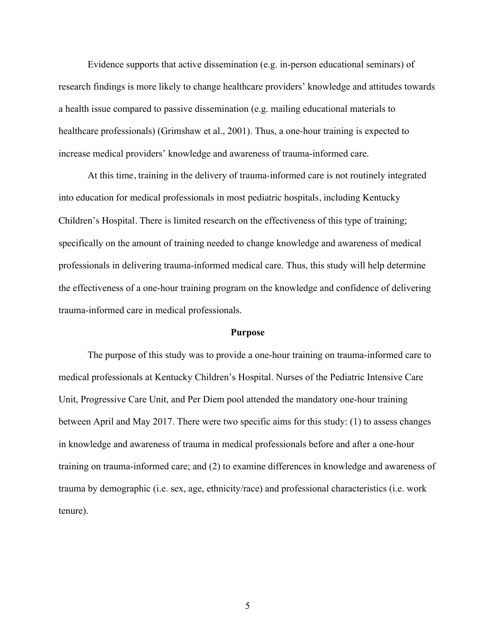Evidence supports that active dissemination (e.g. in-person educational seminars) of research findings is more likely to change healthcare providers' knowledge and attitudes towards a health issue compared to passive dissemination (e.g. mailing educational materials to healthcare professionals) (Grimshaw et al., 2001). Thus, a one-hour training is expected to increase medical providers' knowledge and awareness of trauma-informed care.

At this time, training in the delivery of trauma-informed care is not routinely integrated into education for medical professionals in most pediatric hospitals, including Kentucky Children's Hospital. There is limited research on the effectiveness of this type of training; specifically on the amount of training needed to change knowledge and awareness of medical professionals in delivering trauma-informed medical care. Thus, this study will help determine the effectiveness of a one-hour training program on the knowledge and confidence of delivering trauma-informed care in medical professionals.

#### **Purpose**

The purpose of this study was to provide a one-hour training on trauma-informed care to medical professionals at Kentucky Children's Hospital. Nurses of the Pediatric Intensive Care Unit, Progressive Care Unit, and Per Diem pool attended the mandatory one-hour training between April and May 2017. There were two specific aims for this study: (1) to assess changes in knowledge and awareness of trauma in medical professionals before and after a one-hour training on trauma-informed care; and (2) to examine differences in knowledge and awareness of trauma by demographic (i.e. sex, age, ethnicity/race) and professional characteristics (i.e. work tenure).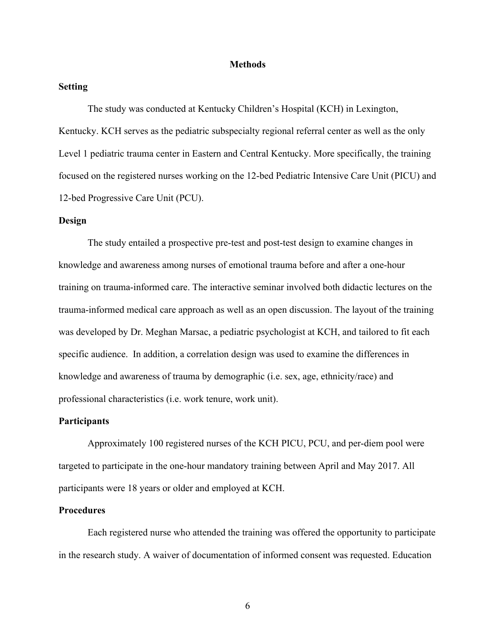#### **Methods**

#### **Setting**

The study was conducted at Kentucky Children's Hospital (KCH) in Lexington, Kentucky. KCH serves as the pediatric subspecialty regional referral center as well as the only Level 1 pediatric trauma center in Eastern and Central Kentucky. More specifically, the training focused on the registered nurses working on the 12-bed Pediatric Intensive Care Unit (PICU) and 12-bed Progressive Care Unit (PCU).

#### **Design**

The study entailed a prospective pre-test and post-test design to examine changes in knowledge and awareness among nurses of emotional trauma before and after a one-hour training on trauma-informed care. The interactive seminar involved both didactic lectures on the trauma-informed medical care approach as well as an open discussion. The layout of the training was developed by Dr. Meghan Marsac, a pediatric psychologist at KCH, and tailored to fit each specific audience. In addition, a correlation design was used to examine the differences in knowledge and awareness of trauma by demographic (i.e. sex, age, ethnicity/race) and professional characteristics (i.e. work tenure, work unit).

#### **Participants**

Approximately 100 registered nurses of the KCH PICU, PCU, and per-diem pool were targeted to participate in the one-hour mandatory training between April and May 2017. All participants were 18 years or older and employed at KCH.

#### **Procedures**

Each registered nurse who attended the training was offered the opportunity to participate in the research study. A waiver of documentation of informed consent was requested. Education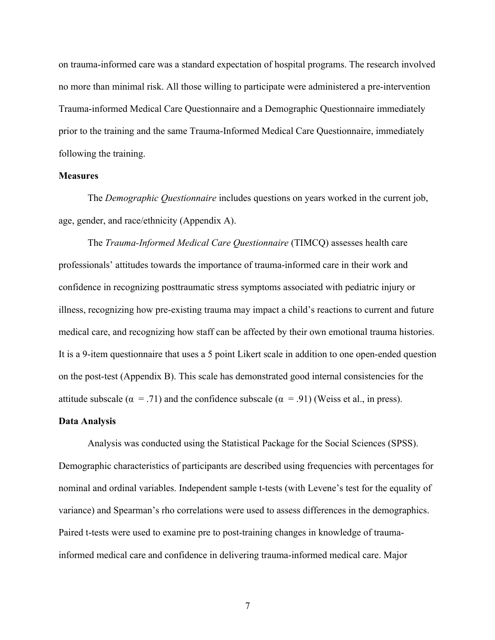on trauma-informed care was a standard expectation of hospital programs. The research involved no more than minimal risk. All those willing to participate were administered a pre-intervention Trauma-informed Medical Care Questionnaire and a Demographic Questionnaire immediately prior to the training and the same Trauma-Informed Medical Care Questionnaire, immediately following the training.

#### **Measures**

The *Demographic Questionnaire* includes questions on years worked in the current job, age, gender, and race/ethnicity (Appendix A).

The *Trauma-Informed Medical Care Questionnaire* (TIMCQ) assesses health care professionals' attitudes towards the importance of trauma-informed care in their work and confidence in recognizing posttraumatic stress symptoms associated with pediatric injury or illness, recognizing how pre-existing trauma may impact a child's reactions to current and future medical care, and recognizing how staff can be affected by their own emotional trauma histories. It is a 9-item questionnaire that uses a 5 point Likert scale in addition to one open-ended question on the post-test (Appendix B). This scale has demonstrated good internal consistencies for the attitude subscale ( $\alpha = .71$ ) and the confidence subscale ( $\alpha = .91$ ) (Weiss et al., in press).

#### **Data Analysis**

Analysis was conducted using the Statistical Package for the Social Sciences (SPSS). Demographic characteristics of participants are described using frequencies with percentages for nominal and ordinal variables. Independent sample t-tests (with Levene's test for the equality of variance) and Spearman's rho correlations were used to assess differences in the demographics. Paired t-tests were used to examine pre to post-training changes in knowledge of traumainformed medical care and confidence in delivering trauma-informed medical care. Major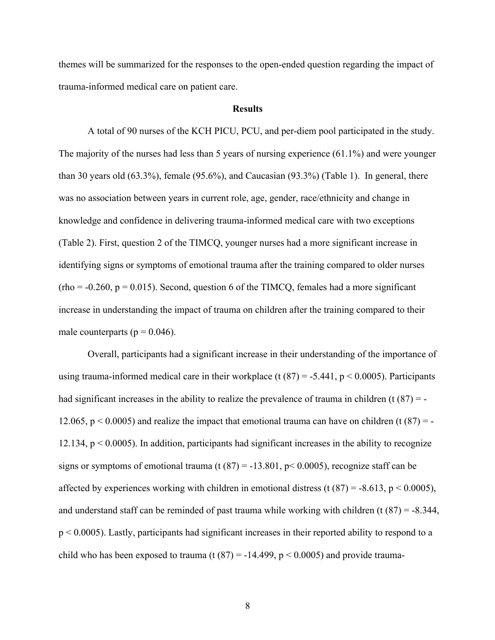themes will be summarized for the responses to the open-ended question regarding the impact of trauma-informed medical care on patient care.

#### **Results**

A total of 90 nurses of the KCH PICU, PCU, and per-diem pool participated in the study. The majority of the nurses had less than 5 years of nursing experience (61.1%) and were younger than 30 years old (63.3%), female (95.6%), and Caucasian (93.3%) (Table 1). In general, there was no association between years in current role, age, gender, race/ethnicity and change in knowledge and confidence in delivering trauma-informed medical care with two exceptions (Table 2). First, question 2 of the TIMCQ, younger nurses had a more significant increase in identifying signs or symptoms of emotional trauma after the training compared to older nurses  $(rho = -0.260, p = 0.015)$ . Second, question 6 of the TIMCQ, females had a more significant increase in understanding the impact of trauma on children after the training compared to their male counterparts ( $p = 0.046$ ).

Overall, participants had a significant increase in their understanding of the importance of using trauma-informed medical care in their workplace (t(87) = -5.441, p < 0.0005). Participants had significant increases in the ability to realize the prevalence of trauma in children  $(t (87) = -$ 12.065,  $p < 0.0005$ ) and realize the impact that emotional trauma can have on children (t (87) = -12.134,  $p < 0.0005$ ). In addition, participants had significant increases in the ability to recognize signs or symptoms of emotional trauma (t  $(87) = -13.801$ ,  $p < 0.0005$ ), recognize staff can be affected by experiences working with children in emotional distress (t  $(87) = -8.613$ , p < 0.0005), and understand staff can be reminded of past trauma while working with children (t  $(87) = -8.344$ , p < 0.0005). Lastly, participants had significant increases in their reported ability to respond to a child who has been exposed to trauma (t  $(87) = -14.499$ ,  $p < 0.0005$ ) and provide trauma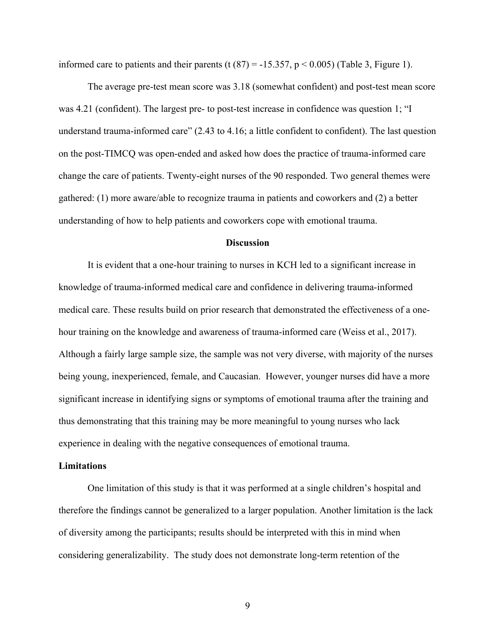informed care to patients and their parents (t  $(87) = -15.357$ ,  $p < 0.005$ ) (Table 3, Figure 1).

The average pre-test mean score was 3.18 (somewhat confident) and post-test mean score was 4.21 (confident). The largest pre- to post-test increase in confidence was question 1; "I understand trauma-informed care" (2.43 to 4.16; a little confident to confident). The last question on the post-TIMCQ was open-ended and asked how does the practice of trauma-informed care change the care of patients. Twenty-eight nurses of the 90 responded. Two general themes were gathered: (1) more aware/able to recognize trauma in patients and coworkers and (2) a better understanding of how to help patients and coworkers cope with emotional trauma.

#### **Discussion**

It is evident that a one-hour training to nurses in KCH led to a significant increase in knowledge of trauma-informed medical care and confidence in delivering trauma-informed medical care. These results build on prior research that demonstrated the effectiveness of a onehour training on the knowledge and awareness of trauma-informed care (Weiss et al., 2017). Although a fairly large sample size, the sample was not very diverse, with majority of the nurses being young, inexperienced, female, and Caucasian. However, younger nurses did have a more significant increase in identifying signs or symptoms of emotional trauma after the training and thus demonstrating that this training may be more meaningful to young nurses who lack experience in dealing with the negative consequences of emotional trauma.

#### **Limitations**

One limitation of this study is that it was performed at a single children's hospital and therefore the findings cannot be generalized to a larger population. Another limitation is the lack of diversity among the participants; results should be interpreted with this in mind when considering generalizability. The study does not demonstrate long-term retention of the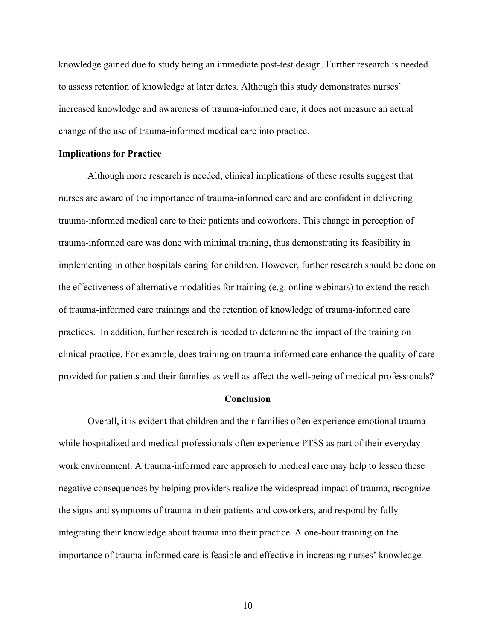knowledge gained due to study being an immediate post-test design. Further research is needed to assess retention of knowledge at later dates. Although this study demonstrates nurses' increased knowledge and awareness of trauma-informed care, it does not measure an actual change of the use of trauma-informed medical care into practice.

#### **Implications for Practice**

Although more research is needed, clinical implications of these results suggest that nurses are aware of the importance of trauma-informed care and are confident in delivering trauma-informed medical care to their patients and coworkers. This change in perception of trauma-informed care was done with minimal training, thus demonstrating its feasibility in implementing in other hospitals caring for children. However, further research should be done on the effectiveness of alternative modalities for training (e.g. online webinars) to extend the reach of trauma-informed care trainings and the retention of knowledge of trauma-informed care practices. In addition, further research is needed to determine the impact of the training on clinical practice. For example, does training on trauma-informed care enhance the quality of care provided for patients and their families as well as affect the well-being of medical professionals?

#### **Conclusion**

Overall, it is evident that children and their families often experience emotional trauma while hospitalized and medical professionals often experience PTSS as part of their everyday work environment. A trauma-informed care approach to medical care may help to lessen these negative consequences by helping providers realize the widespread impact of trauma, recognize the signs and symptoms of trauma in their patients and coworkers, and respond by fully integrating their knowledge about trauma into their practice. A one-hour training on the importance of trauma-informed care is feasible and effective in increasing nurses' knowledge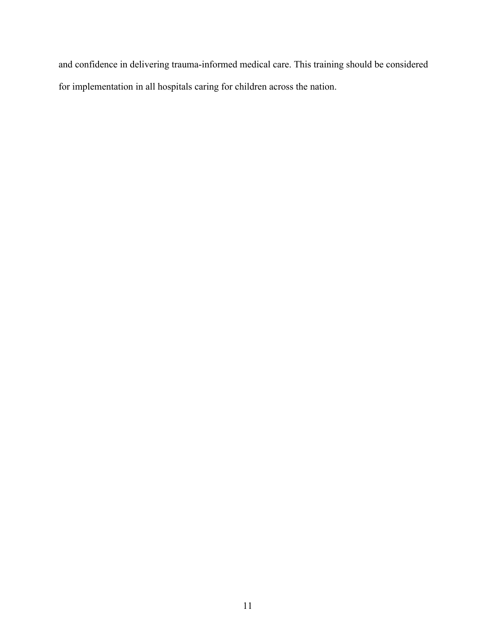and confidence in delivering trauma-informed medical care. This training should be considered for implementation in all hospitals caring for children across the nation.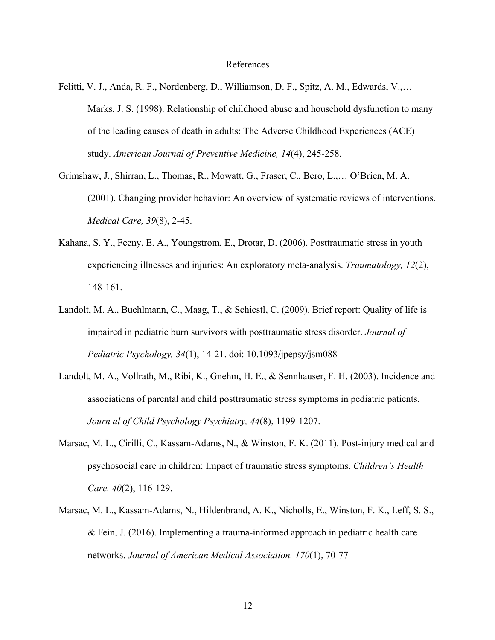#### References

- Felitti, V. J., Anda, R. F., Nordenberg, D., Williamson, D. F., Spitz, A. M., Edwards, V.,… Marks, J. S. (1998). Relationship of childhood abuse and household dysfunction to many of the leading causes of death in adults: The Adverse Childhood Experiences (ACE) study. *American Journal of Preventive Medicine, 14*(4), 245-258.
- Grimshaw, J., Shirran, L., Thomas, R., Mowatt, G., Fraser, C., Bero, L.,… O'Brien, M. A. (2001). Changing provider behavior: An overview of systematic reviews of interventions. *Medical Care, 39*(8), 2-45.
- Kahana, S. Y., Feeny, E. A., Youngstrom, E., Drotar, D. (2006). Posttraumatic stress in youth experiencing illnesses and injuries: An exploratory meta-analysis. *Traumatology, 12*(2), 148-161.
- Landolt, M. A., Buehlmann, C., Maag, T., & Schiestl, C. (2009). Brief report: Quality of life is impaired in pediatric burn survivors with posttraumatic stress disorder. *Journal of Pediatric Psychology, 34*(1), 14-21. doi: 10.1093/jpepsy/jsm088
- Landolt, M. A., Vollrath, M., Ribi, K., Gnehm, H. E., & Sennhauser, F. H. (2003). Incidence and associations of parental and child posttraumatic stress symptoms in pediatric patients. *Journ al of Child Psychology Psychiatry, 44*(8), 1199-1207.
- Marsac, M. L., Cirilli, C., Kassam-Adams, N., & Winston, F. K. (2011). Post-injury medical and psychosocial care in children: Impact of traumatic stress symptoms. *Children's Health Care, 40*(2), 116-129.
- Marsac, M. L., Kassam-Adams, N., Hildenbrand, A. K., Nicholls, E., Winston, F. K., Leff, S. S., & Fein, J. (2016). Implementing a trauma-informed approach in pediatric health care networks. *Journal of American Medical Association, 170*(1), 70-77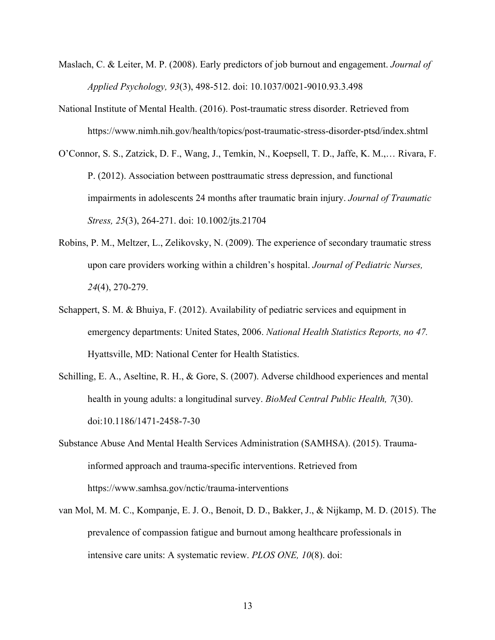- Maslach, C. & Leiter, M. P. (2008). Early predictors of job burnout and engagement. *Journal of Applied Psychology, 93*(3), 498-512. doi: 10.1037/0021-9010.93.3.498
- National Institute of Mental Health. (2016). Post-traumatic stress disorder. Retrieved from https://www.nimh.nih.gov/health/topics/post-traumatic-stress-disorder-ptsd/index.shtml
- O'Connor, S. S., Zatzick, D. F., Wang, J., Temkin, N., Koepsell, T. D., Jaffe, K. M.,… Rivara, F. P. (2012). Association between posttraumatic stress depression, and functional impairments in adolescents 24 months after traumatic brain injury. *Journal of Traumatic Stress, 25*(3), 264-271. doi: 10.1002/jts.21704
- Robins, P. M., Meltzer, L., Zelikovsky, N. (2009). The experience of secondary traumatic stress upon care providers working within a children's hospital. *Journal of Pediatric Nurses, 24*(4), 270-279.
- Schappert, S. M. & Bhuiya, F. (2012). Availability of pediatric services and equipment in emergency departments: United States, 2006. *National Health Statistics Reports, no 47.*  Hyattsville, MD: National Center for Health Statistics.
- Schilling, E. A., Aseltine, R. H., & Gore, S. (2007). Adverse childhood experiences and mental health in young adults: a longitudinal survey. *BioMed Central Public Health, 7*(30). doi:10.1186/1471-2458-7-30
- Substance Abuse And Mental Health Services Administration (SAMHSA). (2015). Traumainformed approach and trauma-specific interventions. Retrieved from https://www.samhsa.gov/nctic/trauma-interventions
- van Mol, M. M. C., Kompanje, E. J. O., Benoit, D. D., Bakker, J., & Nijkamp, M. D. (2015). The prevalence of compassion fatigue and burnout among healthcare professionals in intensive care units: A systematic review. *PLOS ONE, 10*(8). doi: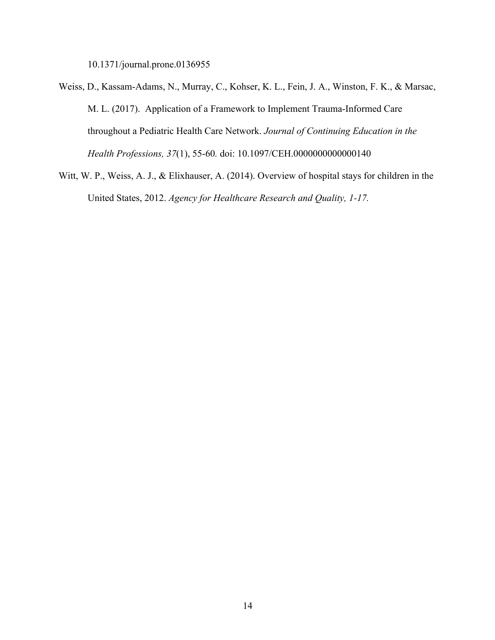10.1371/journal.prone.0136955

- Weiss, D., Kassam-Adams, N., Murray, C., Kohser, K. L., Fein, J. A., Winston, F. K., & Marsac, M. L. (2017). Application of a Framework to Implement Trauma-Informed Care throughout a Pediatric Health Care Network. *Journal of Continuing Education in the Health Professions, 37*(1), 55-60*.* doi: 10.1097/CEH.0000000000000140
- Witt, W. P., Weiss, A. J., & Elixhauser, A. (2014). Overview of hospital stays for children in the United States, 2012. *Agency for Healthcare Research and Quality, 1-17.*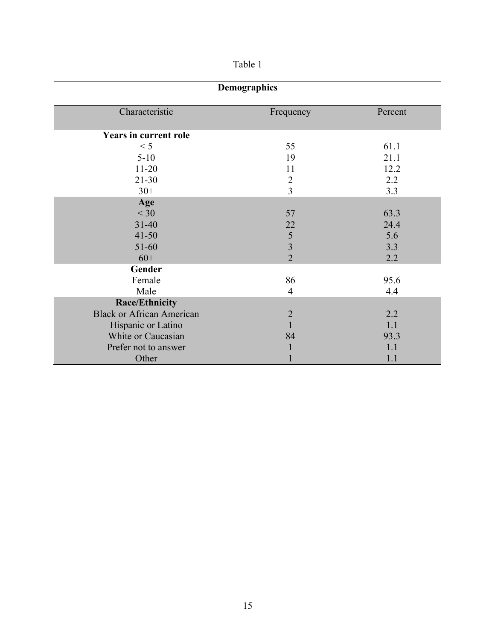| . . |  |
|-----|--|
|     |  |

| Demographics                     |                         |         |  |
|----------------------------------|-------------------------|---------|--|
| Characteristic                   | Frequency               | Percent |  |
| <b>Years in current role</b>     |                         |         |  |
| < 5                              | 55                      | 61.1    |  |
| $5 - 10$                         | 19                      | 21.1    |  |
| $11 - 20$                        | 11                      | 12.2    |  |
| $21 - 30$                        | $\overline{2}$          | 2.2     |  |
| $30+$                            | $\overline{3}$          | 3.3     |  |
| Age                              |                         |         |  |
| $<$ 30                           | 57                      | 63.3    |  |
| $31 - 40$                        | 22                      | 24.4    |  |
| $41 - 50$                        | 5                       | 5.6     |  |
| 51-60                            | $\overline{\mathbf{3}}$ | 3.3     |  |
| $60+$                            | $\overline{2}$          | 2.2     |  |
| Gender                           |                         |         |  |
| Female                           | 86                      | 95.6    |  |
| Male                             | $\overline{4}$          | 4.4     |  |
| <b>Race/Ethnicity</b>            |                         |         |  |
| <b>Black or African American</b> | $\overline{2}$          | 2.2     |  |
| Hispanic or Latino               | 1                       | 1.1     |  |
| White or Caucasian               | 84                      | 93.3    |  |
| Prefer not to answer             |                         | 1.1     |  |
| Other                            |                         | 1.1     |  |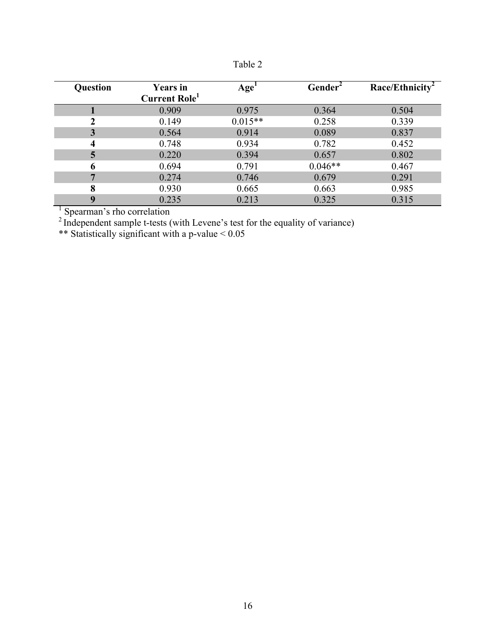| ., |  |
|----|--|
|    |  |

| Question | <b>Years</b> in<br><b>Current Role</b> | Age <sup>1</sup> | Gender <sup>2</sup> | Race/Ethnicity <sup>2</sup> |
|----------|----------------------------------------|------------------|---------------------|-----------------------------|
|          | 0.909                                  | 0.975            | 0.364               | 0.504                       |
| າ        | 0.149                                  | $0.015**$        | 0.258               | 0.339                       |
|          | 0.564                                  | 0.914            | 0.089               | 0.837                       |
| 4        | 0.748                                  | 0.934            | 0.782               | 0.452                       |
| 5        | 0.220                                  | 0.394            | 0.657               | 0.802                       |
| 6        | 0.694                                  | 0.791            | $0.046**$           | 0.467                       |
|          | 0.274                                  | 0.746            | 0.679               | 0.291                       |
| 8        | 0.930                                  | 0.665            | 0.663               | 0.985                       |
| q        | 0.235                                  | 0.213            | 0.325               | 0.315                       |

<sup>1</sup> Spearman's rho correlation

 $2^2$  Independent sample t-tests (with Levene's test for the equality of variance)

\*\* Statistically significant with a p-value < 0.05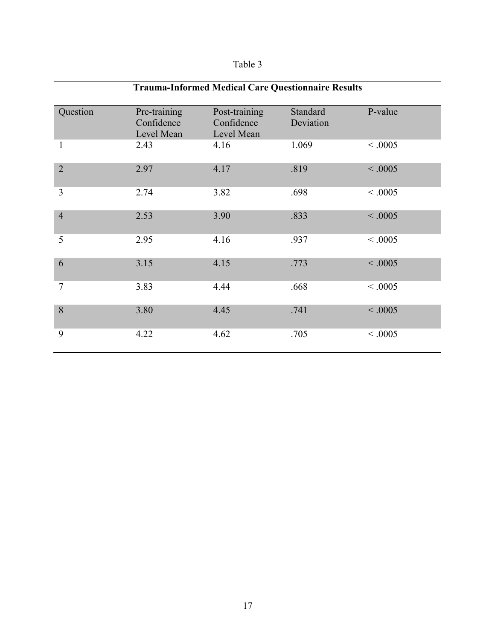## Table 3

| <b>Trauma-Informed Medical Care Questionnaire Results</b> |                                          |                                           |                       |          |
|-----------------------------------------------------------|------------------------------------------|-------------------------------------------|-----------------------|----------|
| Question                                                  | Pre-training<br>Confidence<br>Level Mean | Post-training<br>Confidence<br>Level Mean | Standard<br>Deviation | P-value  |
| 1                                                         | 2.43                                     | 4.16                                      | 1.069                 | < 0.0005 |
| $\overline{2}$                                            | 2.97                                     | 4.17                                      | .819                  | < 0.0005 |
| 3                                                         | 2.74                                     | 3.82                                      | .698                  | < 0.0005 |
| $\overline{4}$                                            | 2.53                                     | 3.90                                      | .833                  | < 0.0005 |
| 5                                                         | 2.95                                     | 4.16                                      | .937                  | < 0.0005 |
| 6                                                         | 3.15                                     | 4.15                                      | .773                  | < 0.0005 |
| $\overline{7}$                                            | 3.83                                     | 4.44                                      | .668                  | < 0.0005 |
| 8                                                         | 3.80                                     | 4.45                                      | .741                  | < 0.0005 |
| 9                                                         | 4.22                                     | 4.62                                      | .705                  | < 0.0005 |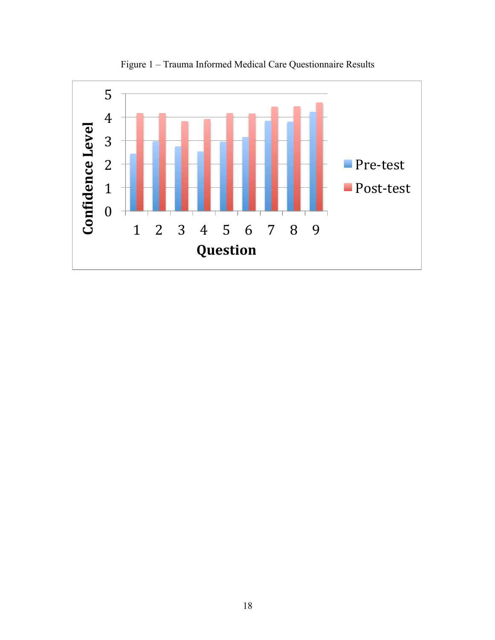

Figure 1 – Trauma Informed Medical Care Questionnaire Results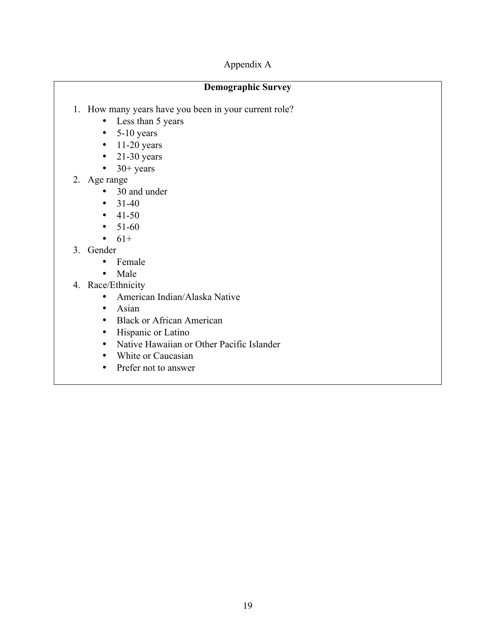### Appendix A

### **Demographic Survey**

- 1. How many years have you been in your current role?
	- Less than 5 years
	- $\bullet$  5-10 years
	- $\cdot$  11-20 years
	- $\bullet$  21-30 years
	- $\bullet$  30+ years
- 2. Age range
	- 30 and under
	- $31-40$
	- $41-50$
	- $51-60$
	- $61+$
- 3. Gender
	- Female
	- Male
- 4. Race/Ethnicity
	- American Indian/Alaska Native
	- Asian
	- Black or African American
	- Hispanic or Latino
	- Native Hawaiian or Other Pacific Islander
	- White or Caucasian
	- Prefer not to answer